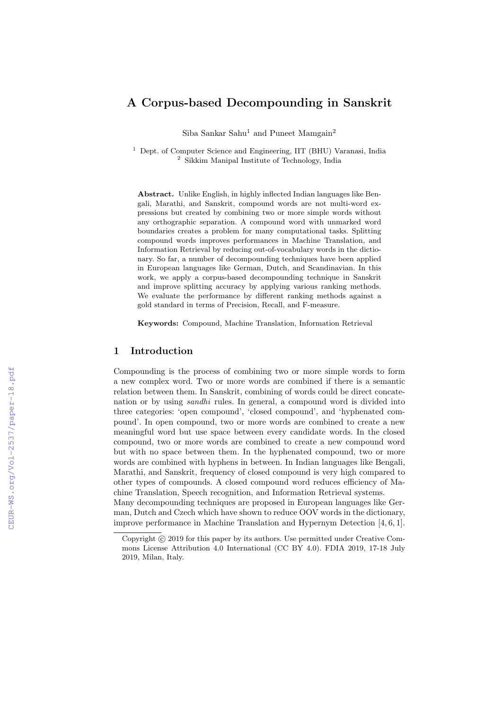# A Corpus-based Decompounding in Sanskrit

Siba Sankar Sahu<sup>1</sup> and Puneet Mamgain<sup>2</sup>

<sup>1</sup> Dept. of Computer Science and Engineering, IIT (BHU) Varanasi, India <sup>2</sup> Sikkim Manipal Institute of Technology, India

Abstract. Unlike English, in highly inflected Indian languages like Bengali, Marathi, and Sanskrit, compound words are not multi-word expressions but created by combining two or more simple words without any orthographic separation. A compound word with unmarked word boundaries creates a problem for many computational tasks. Splitting compound words improves performances in Machine Translation, and Information Retrieval by reducing out-of-vocabulary words in the dictionary. So far, a number of decompounding techniques have been applied in European languages like German, Dutch, and Scandinavian. In this work, we apply a corpus-based decompounding technique in Sanskrit and improve splitting accuracy by applying various ranking methods. We evaluate the performance by different ranking methods against a gold standard in terms of Precision, Recall, and F-measure.

Keywords: Compound, Machine Translation, Information Retrieval

# 1 Introduction

Compounding is the process of combining two or more simple words to form a new complex word. Two or more words are combined if there is a semantic relation between them. In Sanskrit, combining of words could be direct concatenation or by using *sandhi* rules. In general, a compound word is divided into three categories: 'open compound', 'closed compound', and 'hyphenated compound'. In open compound, two or more words are combined to create a new meaningful word but use space between every candidate words. In the closed compound, two or more words are combined to create a new compound word but with no space between them. In the hyphenated compound, two or more words are combined with hyphens in between. In Indian languages like Bengali, Marathi, and Sanskrit, frequency of closed compound is very high compared to other types of compounds. A closed compound word reduces efficiency of Machine Translation, Speech recognition, and Information Retrieval systems.

Many decompounding techniques are proposed in European languages like German, Dutch and Czech which have shown to reduce OOV words in the dictionary, improve performance in Machine Translation and Hypernym Detection [4, 6, 1].

Copyright (c) 2019 for this paper by its authors. Use permitted under Creative Commons License Attribution 4.0 International (CC BY 4.0). FDIA 2019, 17-18 July 2019, Milan, Italy.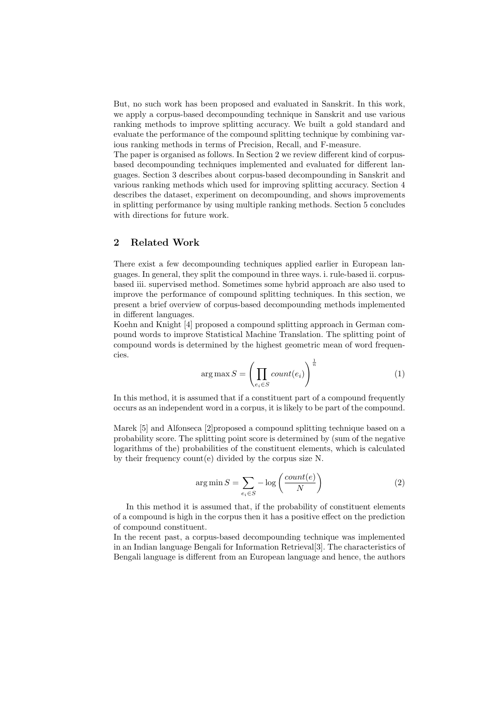But, no such work has been proposed and evaluated in Sanskrit. In this work, we apply a corpus-based decompounding technique in Sanskrit and use various ranking methods to improve splitting accuracy. We built a gold standard and evaluate the performance of the compound splitting technique by combining various ranking methods in terms of Precision, Recall, and F-measure.

The paper is organised as follows. In Section 2 we review different kind of corpusbased decompounding techniques implemented and evaluated for different languages. Section 3 describes about corpus-based decompounding in Sanskrit and various ranking methods which used for improving splitting accuracy. Section 4 describes the dataset, experiment on decompounding, and shows improvements in splitting performance by using multiple ranking methods. Section 5 concludes with directions for future work.

## 2 Related Work

There exist a few decompounding techniques applied earlier in European languages. In general, they split the compound in three ways. i. rule-based ii. corpusbased iii. supervised method. Sometimes some hybrid approach are also used to improve the performance of compound splitting techniques. In this section, we present a brief overview of corpus-based decompounding methods implemented in different languages.

Koehn and Knight [4] proposed a compound splitting approach in German compound words to improve Statistical Machine Translation. The splitting point of compound words is determined by the highest geometric mean of word frequencies.

$$
\arg \max S = \left(\prod_{e_i \in S} count(e_i)\right)^{\frac{1}{n}} \tag{1}
$$

In this method, it is assumed that if a constituent part of a compound frequently occurs as an independent word in a corpus, it is likely to be part of the compound.

Marek [5] and Alfonseca [2]proposed a compound splitting technique based on a probability score. The splitting point score is determined by (sum of the negative logarithms of the) probabilities of the constituent elements, which is calculated by their frequency count(e) divided by the corpus size N.

$$
\arg\min S = \sum_{e_i \in S} -\log\left(\frac{count(e)}{N}\right) \tag{2}
$$

In this method it is assumed that, if the probability of constituent elements of a compound is high in the corpus then it has a positive effect on the prediction of compound constituent.

In the recent past, a corpus-based decompounding technique was implemented in an Indian language Bengali for Information Retrieval[3]. The characteristics of Bengali language is different from an European language and hence, the authors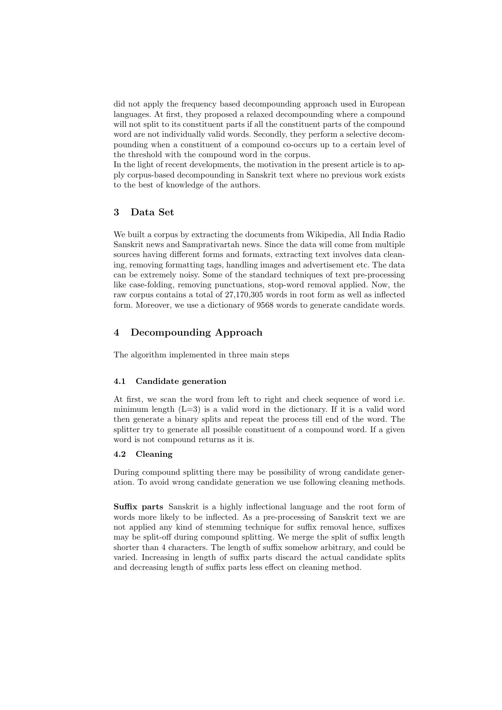did not apply the frequency based decompounding approach used in European languages. At first, they proposed a relaxed decompounding where a compound will not split to its constituent parts if all the constituent parts of the compound word are not individually valid words. Secondly, they perform a selective decompounding when a constituent of a compound co-occurs up to a certain level of the threshold with the compound word in the corpus.

In the light of recent developments, the motivation in the present article is to apply corpus-based decompounding in Sanskrit text where no previous work exists to the best of knowledge of the authors.

### 3 Data Set

We built a corpus by extracting the documents from Wikipedia, All India Radio Sanskrit news and Samprativartah news. Since the data will come from multiple sources having different forms and formats, extracting text involves data cleaning, removing formatting tags, handling images and advertisement etc. The data can be extremely noisy. Some of the standard techniques of text pre-processing like case-folding, removing punctuations, stop-word removal applied. Now, the raw corpus contains a total of 27,170,305 words in root form as well as inflected form. Moreover, we use a dictionary of 9568 words to generate candidate words.

# 4 Decompounding Approach

The algorithm implemented in three main steps

#### 4.1 Candidate generation

At first, we scan the word from left to right and check sequence of word i.e. minimum length  $(L=3)$  is a valid word in the dictionary. If it is a valid word then generate a binary splits and repeat the process till end of the word. The splitter try to generate all possible constituent of a compound word. If a given word is not compound returns as it is.

#### 4.2 Cleaning

During compound splitting there may be possibility of wrong candidate generation. To avoid wrong candidate generation we use following cleaning methods.

Suffix parts Sanskrit is a highly inflectional language and the root form of words more likely to be inflected. As a pre-processing of Sanskrit text we are not applied any kind of stemming technique for suffix removal hence, suffixes may be split-off during compound splitting. We merge the split of suffix length shorter than 4 characters. The length of suffix somehow arbitrary, and could be varied. Increasing in length of suffix parts discard the actual candidate splits and decreasing length of suffix parts less effect on cleaning method.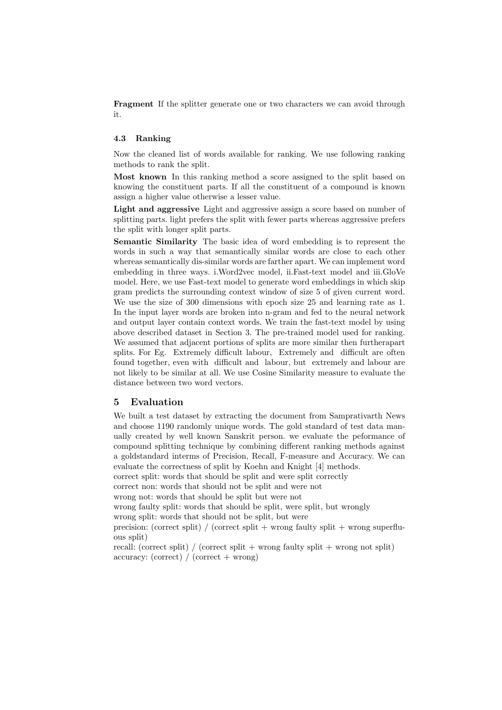**Fragment** If the splitter generate one or two characters we can avoid through it.

### 4.3 Ranking

Now the cleaned list of words available for ranking. We use following ranking methods to rank the split.

Most known In this ranking method a score assigned to the split based on knowing the constituent parts. If all the constituent of a compound is known assign a higher value otherwise a lesser value.

Light and aggressive Light and aggressive assign a score based on number of splitting parts. light prefers the split with fewer parts whereas aggressive prefers the split with longer split parts.

Semantic Similarity The basic idea of word embedding is to represent the words in such a way that semantically similar words are close to each other whereas semantically dis-similar words are farther apart. We can implement word embedding in three ways. i.Word2vec model, ii.Fast-text model and iii.GloVe model. Here, we use Fast-text model to generate word embeddings in which skip gram predicts the surrounding context window of size 5 of given current word. We use the size of 300 dimensions with epoch size 25 and learning rate as 1. In the input layer words are broken into n-gram and fed to the neural network and output layer contain context words. We train the fast-text model by using above described dataset in Section 3. The pre-trained model used for ranking. We assumed that adjacent portions of splits are more similar then furtherapart splits. For Eg. Extremely difficult labour, Extremely and difficult are often found together, even with difficult and labour, but extremely and labour are not likely to be similar at all. We use Cosine Similarity measure to evaluate the distance between two word vectors.

### 5 Evaluation

We built a test dataset by extracting the document from Samprativarth News and choose 1190 randomly unique words. The gold standard of test data manually created by well known Sanskrit person. we evaluate the peformance of compound splitting technique by combining different ranking methods against a goldstandard interms of Precision, Recall, F-measure and Accuracy. We can evaluate the correctness of split by Koehn and Knight [4] methods. correct split: words that should be split and were split correctly correct non: words that should not be split and were not wrong not: words that should be split but were not wrong faulty split: words that should be split, were split, but wrongly wrong split: words that should not be split, but were precision: (correct split) / (correct split + wrong faulty split + wrong superfluous split) recall: (correct split) / (correct split + wrong faulty split + wrong not split) accuracy: (correct) / (correct + wrong)